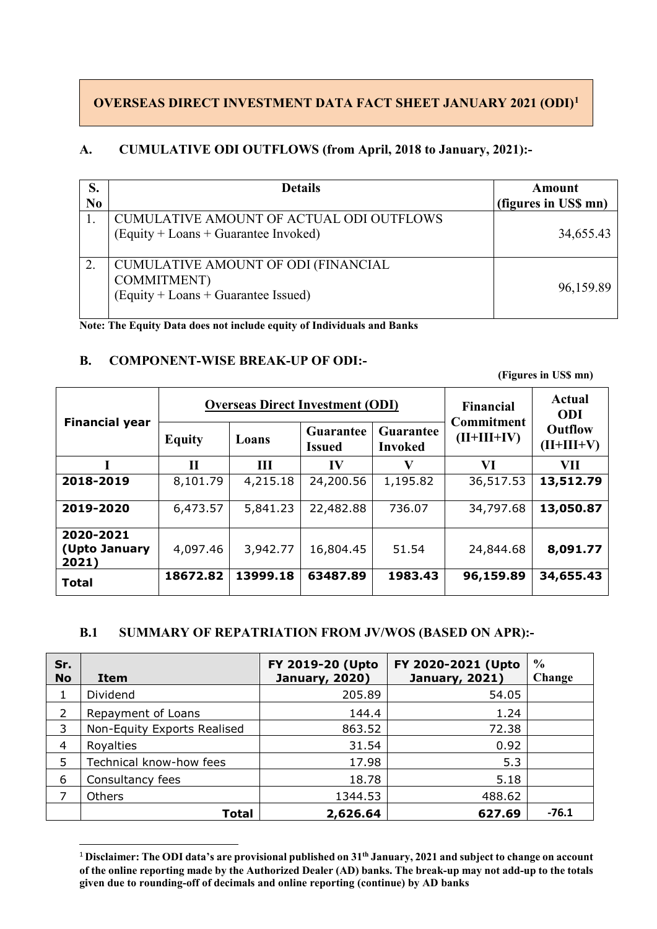#### **OVERSEAS DIRECT INVESTMENT DATA FACT SHEET JANUARY 2021 (ODI)[1](#page-0-0)**

#### **A. CUMULATIVE ODI OUTFLOWS (from April, 2018 to January, 2021):-**

| S.<br>N <sub>0</sub> | <b>Details</b>                                                                                        | Amount<br>(figures in US\$ mn) |
|----------------------|-------------------------------------------------------------------------------------------------------|--------------------------------|
|                      | CUMULATIVE AMOUNT OF ACTUAL ODI OUTFLOWS<br>(Equity + Loans + Guarantee Invoked)                      | 34,655.43                      |
| 2.                   | <b>CUMULATIVE AMOUNT OF ODI (FINANCIAL</b><br>COMMITMENT)<br>$(Equity + Loans + Guarantee \, Issued)$ | 96,159.89                      |

**Note: The Equity Data does not include equity of Individuals and Banks**

#### **B. COMPONENT-WISE BREAK-UP OF ODI:-**

 **(Figures in US\$ mn)**

| <b>Financial year</b>               |               |          | <b>Overseas Direct Investment (ODI)</b> |                      | <b>Financial</b><br><b>Commitment</b> | Actual<br><b>ODI</b>                                                                    |
|-------------------------------------|---------------|----------|-----------------------------------------|----------------------|---------------------------------------|-----------------------------------------------------------------------------------------|
|                                     | <b>Equity</b> | Loans    | <b>Guarantee</b><br>Issued              | Guarantee<br>Invoked | $(II+III+IV)$                         | <b>Outflow</b><br>$(II+III+V)$<br>VП<br>13,512.79<br>13,050.87<br>8,091.77<br>34,655.43 |
|                                     | $\mathbf{I}$  | III      | IV                                      |                      | VI                                    |                                                                                         |
| 2018-2019                           | 8,101.79      | 4,215.18 | 24,200.56                               | 1,195.82             | 36,517.53                             |                                                                                         |
| 2019-2020                           | 6,473.57      | 5,841.23 | 22,482.88                               | 736.07               | 34,797.68                             |                                                                                         |
| 2020-2021<br>(Upto January<br>2021) | 4,097.46      | 3,942.77 | 16,804.45                               | 51.54                | 24,844.68                             |                                                                                         |
| <b>Total</b>                        | 18672.82      | 13999.18 | 63487.89                                | 1983.43              | 96,159.89                             |                                                                                         |

#### **B.1 SUMMARY OF REPATRIATION FROM JV/WOS (BASED ON APR):-**

| Sr.<br><b>No</b> | Item                        | FY 2019-20 (Upto<br><b>January, 2020)</b> | FY 2020-2021 (Upto<br><b>January, 2021)</b> | $\frac{0}{0}$<br>Change |
|------------------|-----------------------------|-------------------------------------------|---------------------------------------------|-------------------------|
| 1.               | Dividend                    | 205.89                                    | 54.05                                       |                         |
| $\mathcal{P}$    | Repayment of Loans          | 144.4                                     | 1.24                                        |                         |
| 3                | Non-Equity Exports Realised | 863.52                                    | 72.38                                       |                         |
| 4                | Royalties                   | 31.54                                     | 0.92                                        |                         |
| 5                | Technical know-how fees     | 17.98                                     | 5.3                                         |                         |
| 6                | Consultancy fees            | 18.78                                     | 5.18                                        |                         |
| 7                | <b>Others</b>               | 1344.53                                   | 488.62                                      |                         |
|                  | <b>Total</b>                | 2,626.64                                  | 627.69                                      | $-76.1$                 |

<span id="page-0-0"></span> <sup>1</sup> **Disclaimer: The ODI data's are provisional published on 31th January, 2021 and subject to change on account of the online reporting made by the Authorized Dealer (AD) banks. The break-up may not add-up to the totals given due to rounding-off of decimals and online reporting (continue) by AD banks**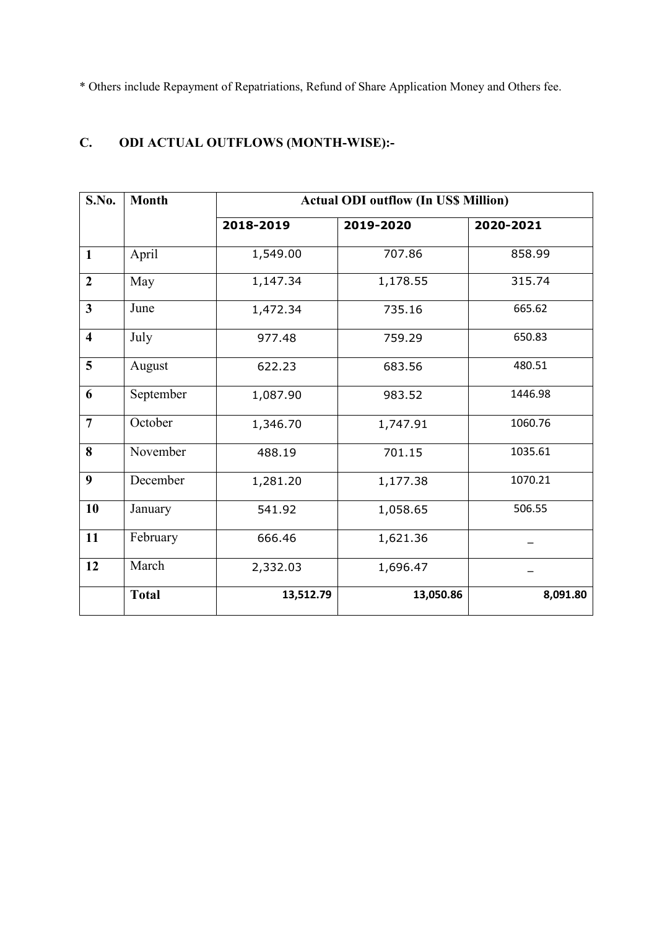\* Others include Repayment of Repatriations, Refund of Share Application Money and Others fee.

### **C. ODI ACTUAL OUTFLOWS (MONTH-WISE):-**

| S.No.                   | <b>Month</b> |                  | <b>Actual ODI outflow (In US\$ Million)</b> |           |  |
|-------------------------|--------------|------------------|---------------------------------------------|-----------|--|
|                         |              | 2018-2019        | 2019-2020                                   | 2020-2021 |  |
| $\mathbf{1}$            | April        | 1,549.00         | 707.86                                      | 858.99    |  |
| $\boldsymbol{2}$        | May          | 1,147.34         | 1,178.55                                    | 315.74    |  |
| $\overline{\mathbf{3}}$ | June         | 1,472.34         | 735.16                                      | 665.62    |  |
| $\overline{\mathbf{4}}$ | July         | 977.48           | 759.29                                      | 650.83    |  |
| 5                       | August       | 622.23<br>683.56 |                                             | 480.51    |  |
| 6                       | September    | 1,087.90         | 983.52                                      | 1446.98   |  |
| $\overline{7}$          | October      | 1,346.70         | 1,747.91                                    | 1060.76   |  |
| 8                       | November     | 488.19           | 701.15                                      | 1035.61   |  |
| 9                       | December     | 1,281.20         | 1,177.38                                    | 1070.21   |  |
| 10                      | January      | 541.92           | 1,058.65                                    | 506.55    |  |
| 11                      | February     | 666.46           | 1,621.36                                    |           |  |
| 12                      | March        | 2,332.03         | 1,696.47                                    |           |  |
|                         | <b>Total</b> | 13,512.79        | 13,050.86                                   | 8,091.80  |  |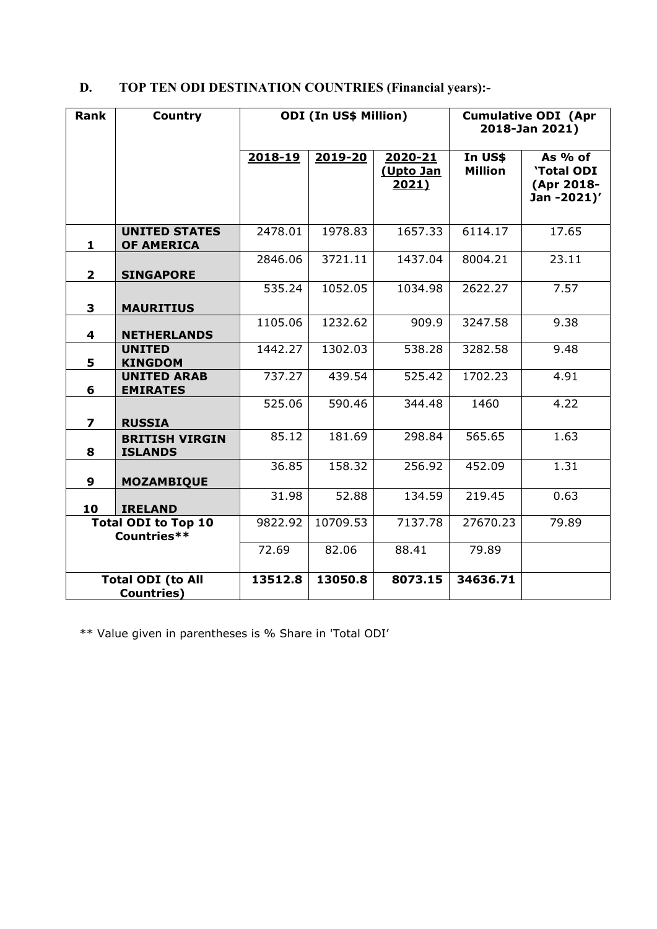# **D. TOP TEN ODI DESTINATION COUNTRIES (Financial years):-**

| <b>Rank</b>                                    | Country                                   |         | <b>ODI (In US\$ Million)</b> |                               | <b>Cumulative ODI (Apr</b><br>2018-Jan 2021) |                                                            |  |
|------------------------------------------------|-------------------------------------------|---------|------------------------------|-------------------------------|----------------------------------------------|------------------------------------------------------------|--|
|                                                |                                           | 2018-19 | 2019-20                      | 2020-21<br>(Upto Jan<br>2021) | In US\$<br><b>Million</b>                    | As $%$ of<br><b>'Total ODI</b><br>(Apr 2018-<br>Jan-2021)' |  |
| 1                                              | <b>UNITED STATES</b><br><b>OF AMERICA</b> | 2478.01 | 1978.83                      | 1657.33                       | 6114.17                                      | 17.65                                                      |  |
| $\overline{2}$                                 | <b>SINGAPORE</b>                          | 2846.06 | 3721.11                      | 1437.04                       | 8004.21                                      | 23.11                                                      |  |
| 3                                              | <b>MAURITIUS</b>                          | 535.24  | 1052.05                      | 1034.98                       | 2622.27                                      | 7.57                                                       |  |
| 4                                              | <b>NETHERLANDS</b>                        | 1105.06 | 1232.62                      | 909.9                         | 3247.58                                      | 9.38                                                       |  |
| 5                                              | <b>UNITED</b><br><b>KINGDOM</b>           | 1442.27 | 1302.03                      | 538.28                        | 3282.58                                      | 9.48                                                       |  |
| 6                                              | <b>UNITED ARAB</b><br><b>EMIRATES</b>     | 737.27  | 439.54                       | 525.42                        | 1702.23                                      | 4.91                                                       |  |
| $\overline{\mathbf{z}}$                        | <b>RUSSIA</b>                             | 525.06  | 590.46                       | 344.48                        | 1460                                         | 4.22                                                       |  |
| 8                                              | <b>BRITISH VIRGIN</b><br><b>ISLANDS</b>   | 85.12   | 181.69                       | 298.84                        | 565.65                                       | 1.63                                                       |  |
| 9                                              | <b>MOZAMBIQUE</b>                         | 36.85   | 158.32                       | 256.92                        | 452.09                                       | 1.31                                                       |  |
| 10                                             | <b>IRELAND</b>                            | 31.98   | 52.88                        | 134.59                        | 219.45                                       | 0.63                                                       |  |
| <b>Total ODI to Top 10</b><br>Countries**      |                                           | 9822.92 | 10709.53                     | 7137.78                       | 27670.23                                     | 79.89                                                      |  |
|                                                |                                           | 72.69   | 82.06                        | 88.41                         | 79.89                                        |                                                            |  |
| <b>Total ODI (to All</b><br><b>Countries</b> ) |                                           | 13512.8 | 13050.8                      | 8073.15                       | 34636.71                                     |                                                            |  |

\*\* Value given in parentheses is % Share in 'Total ODI'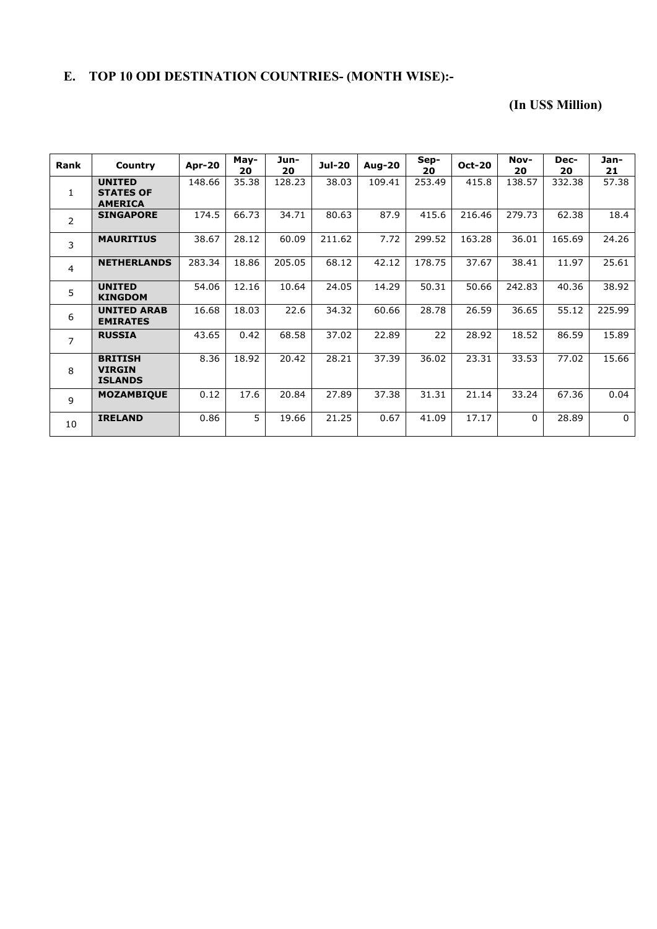### **E. TOP 10 ODI DESTINATION COUNTRIES- (MONTH WISE):-**

#### **(In US\$ Million)**

| Rank           | Country                                             | Apr-20 | May-<br>20 | Jun-<br>20 | <b>Jul-20</b> | <b>Aug-20</b> | Sep-<br>20 | <b>Oct-20</b> | Nov-<br>20 | Dec-<br>20 | Jan-<br>21 |
|----------------|-----------------------------------------------------|--------|------------|------------|---------------|---------------|------------|---------------|------------|------------|------------|
| 1              | <b>UNITED</b><br><b>STATES OF</b><br><b>AMERICA</b> | 148.66 | 35.38      | 128.23     | 38.03         | 109.41        | 253.49     | 415.8         | 138.57     | 332.38     | 57.38      |
| 2              | <b>SINGAPORE</b>                                    | 174.5  | 66.73      | 34.71      | 80.63         | 87.9          | 415.6      | 216.46        | 279.73     | 62.38      | 18.4       |
| 3              | <b>MAURITIUS</b>                                    | 38.67  | 28.12      | 60.09      | 211.62        | 7.72          | 299.52     | 163.28        | 36.01      | 165.69     | 24.26      |
| 4              | <b>NETHERLANDS</b>                                  | 283.34 | 18.86      | 205.05     | 68.12         | 42.12         | 178.75     | 37.67         | 38.41      | 11.97      | 25.61      |
| 5              | <b>UNITED</b><br><b>KINGDOM</b>                     | 54.06  | 12.16      | 10.64      | 24.05         | 14.29         | 50.31      | 50.66         | 242.83     | 40.36      | 38.92      |
| 6              | <b>UNITED ARAB</b><br><b>EMIRATES</b>               | 16.68  | 18.03      | 22.6       | 34.32         | 60.66         | 28.78      | 26.59         | 36.65      | 55.12      | 225.99     |
| $\overline{7}$ | <b>RUSSIA</b>                                       | 43.65  | 0.42       | 68.58      | 37.02         | 22.89         | 22         | 28.92         | 18.52      | 86.59      | 15.89      |
| 8              | <b>BRITISH</b><br><b>VIRGIN</b><br><b>ISLANDS</b>   | 8.36   | 18.92      | 20.42      | 28.21         | 37.39         | 36.02      | 23.31         | 33.53      | 77.02      | 15.66      |
| 9              | <b>MOZAMBIQUE</b>                                   | 0.12   | 17.6       | 20.84      | 27.89         | 37.38         | 31.31      | 21.14         | 33.24      | 67.36      | 0.04       |
| 10             | <b>IRELAND</b>                                      | 0.86   | 5          | 19.66      | 21.25         | 0.67          | 41.09      | 17.17         | $\Omega$   | 28.89      | $\Omega$   |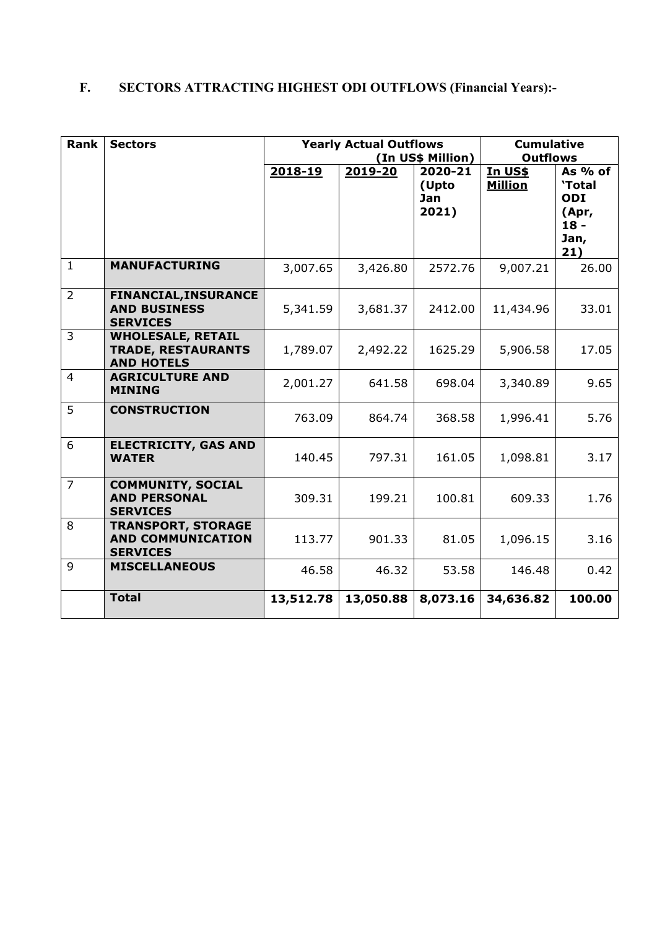# **F. SECTORS ATTRACTING HIGHEST ODI OUTFLOWS (Financial Years):-**

| <b>Rank</b>    | <b>Sectors</b>                                                             |           | <b>Yearly Actual Outflows</b> | (In US\$ Million)                | <b>Cumulative</b><br><b>Outflows</b> |                                                              |  |  |
|----------------|----------------------------------------------------------------------------|-----------|-------------------------------|----------------------------------|--------------------------------------|--------------------------------------------------------------|--|--|
|                |                                                                            | 2018-19   | $2019 - 20$                   | 2020-21<br>(Upto<br>Jan<br>2021) | In US\$<br><b>Million</b>            | As $%$ of<br>'Total<br>ODI<br>(Apr,<br>$18 -$<br>Jan,<br>21) |  |  |
| $\mathbf{1}$   | <b>MANUFACTURING</b>                                                       | 3,007.65  | 3,426.80                      | 2572.76                          | 9,007.21                             | 26.00                                                        |  |  |
| $\overline{2}$ | <b>FINANCIAL, INSURANCE</b><br><b>AND BUSINESS</b><br><b>SERVICES</b>      | 5,341.59  | 3,681.37                      | 2412.00                          | 11,434.96                            | 33.01                                                        |  |  |
| 3              | <b>WHOLESALE, RETAIL</b><br><b>TRADE, RESTAURANTS</b><br><b>AND HOTELS</b> | 1,789.07  | 2,492.22                      | 1625.29                          | 5,906.58                             | 17.05                                                        |  |  |
| $\overline{4}$ | <b>AGRICULTURE AND</b><br><b>MINING</b>                                    | 2,001.27  | 641.58                        | 698.04                           | 3,340.89                             | 9.65                                                         |  |  |
| 5              | <b>CONSTRUCTION</b>                                                        | 763.09    | 864.74                        | 368.58                           | 1,996.41                             | 5.76                                                         |  |  |
| 6              | <b>ELECTRICITY, GAS AND</b><br><b>WATER</b>                                | 140.45    | 797.31                        | 161.05                           | 1,098.81                             | 3.17                                                         |  |  |
| $\overline{7}$ | <b>COMMUNITY, SOCIAL</b><br><b>AND PERSONAL</b><br><b>SERVICES</b>         | 309.31    | 199.21                        | 100.81                           | 609.33                               | 1.76                                                         |  |  |
| 8              | <b>TRANSPORT, STORAGE</b><br><b>AND COMMUNICATION</b><br><b>SERVICES</b>   | 113.77    | 901.33                        | 81.05                            | 1,096.15                             | 3.16                                                         |  |  |
| 9              | <b>MISCELLANEOUS</b>                                                       | 46.58     | 46.32                         | 53.58                            | 146.48                               | 0.42                                                         |  |  |
|                | <b>Total</b>                                                               | 13,512.78 | 13,050.88                     | 8,073.16                         | 34,636.82                            | 100.00                                                       |  |  |